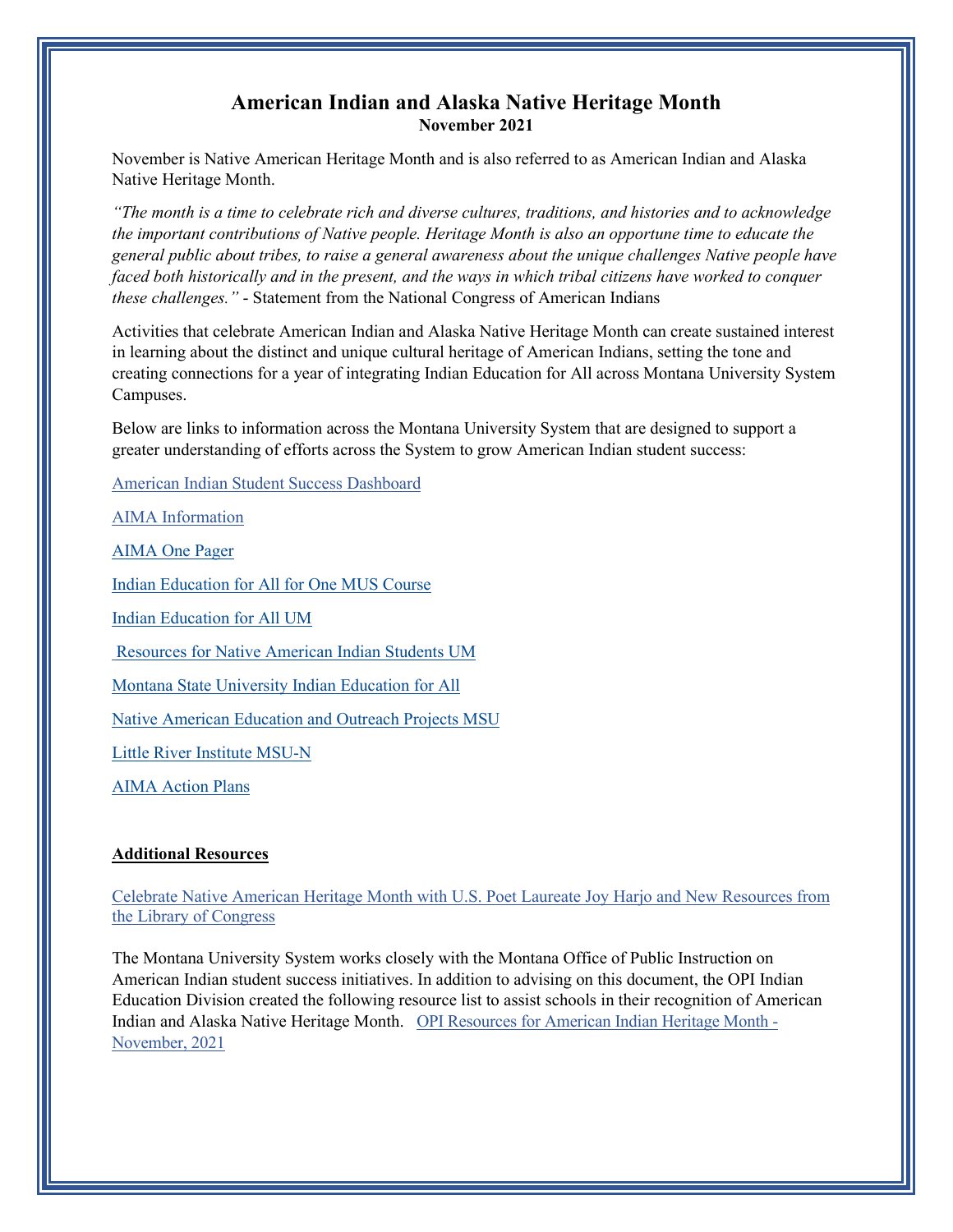## **American Indian and Alaska Native Heritage Month November 2021**

November is Native American Heritage Month and is also referred to as American Indian and Alaska Native Heritage Month.

*"The month is a time to celebrate rich and diverse cultures, traditions, and histories and to acknowledge the important contributions of Native people. Heritage Month is also an opportune time to educate the general public about tribes, to raise a general awareness about the unique challenges Native people have faced both historically and in the present, and the ways in which tribal citizens have worked to conquer these challenges."* - Statement from the National Congress of American Indians

Activities that celebrate American Indian and Alaska Native Heritage Month can create sustained interest in learning about the distinct and unique cultural heritage of American Indians, setting the tone and creating connections for a year of integrating Indian Education for All across Montana University System Campuses.

Below are links to information across the Montana University System that are designed to support a greater understanding of efforts across the System to grow American Indian student success:

[American Indian Student Success Dashboard](https://mus.edu/data/AmInd/AI-EnrollmentDashboard.html)

[AIMA Information](https://mus.edu/AIMA/aima-one-page-brief.html) 

[AIMA One Pager](https://mus.edu/AIMA/aima-one-page-brief.html)

[Indian Education for All for One MUS Course](http://www.montana.edu/iefa/)

[Indian Education for All UM](https://www.umt.edu/mga/Classroom%20Resources/Indian%20Education/default.php)

[Resources for Native American Indian Students UM](https://www.umt.edu/grad/native-american-students/default.php)

[Montana State University Indian Education for All](https://www.montana.edu/carjuzaa/iefa/index-1.html)

[Native American Education and Outreach Projects MSU](https://www.montana.edu/president/gathertogether/)

[Little River Institute MSU-N](https://www.littleriverinstitute.org/)

[AIMA Action Plans](https://mus.edu/AIMA/action-plans.html)

## **Additional Resources**

[Celebrate Native American Heritage Month with U.S. Poet Laureate Joy Harjo and New Resources from](https://www.loc.gov/item/prn-21-066/?loclr=ealn)  [the Library of Congress](https://www.loc.gov/item/prn-21-066/?loclr=ealn)

The Montana University System works closely with the Montana Office of Public Instruction on American Indian student success initiatives. In addition to advising on this document, the OPI Indian Education Division created the following resource list to assist schools in their recognition of American Indian and Alaska Native Heritage Month. OPI [Resources](https://opi.mt.gov/Portals/182/Page%20Files/Indian%20Education/Indian%20Education%20101/Native_American_Heritage_Month_Nov_2021.pdf?ver=2021-10-29-114027-930) for American Indian Heritage Month - [November,](https://opi.mt.gov/Portals/182/Page%20Files/Indian%20Education/Indian%20Education%20101/Native_American_Heritage_Month_Nov_2021.pdf?ver=2021-10-29-114027-930) 2021